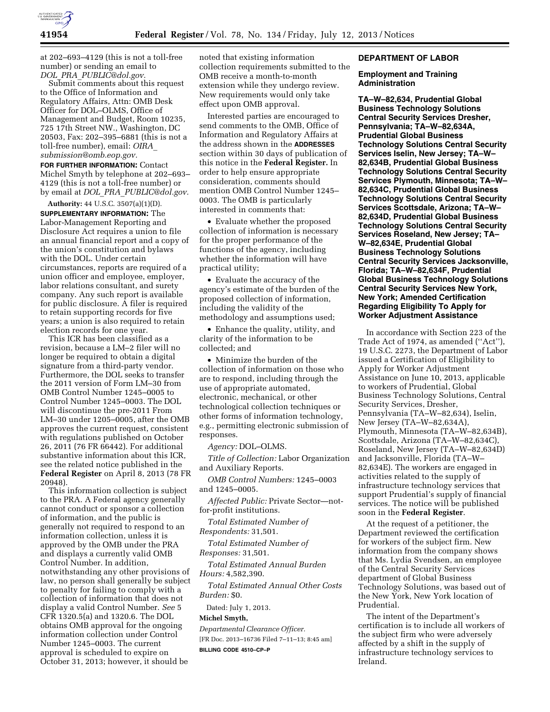

at 202–693–4129 (this is not a toll-free number) or sending an email to *DOL*\_*PRA*\_*[PUBLIC@dol.gov.](mailto:DOL_PRA_PUBLIC@dol.gov)* 

Submit comments about this request to the Office of Information and Regulatory Affairs, Attn: OMB Desk Officer for DOL–OLMS, Office of Management and Budget, Room 10235, 725 17th Street NW., Washington, DC 20503, Fax: 202–395–6881 (this is not a toll-free number), email: *[OIRA](mailto:OIRA_submission@omb.eop.gov)*\_ *[submission@omb.eop.gov.](mailto:OIRA_submission@omb.eop.gov)* 

**FOR FURTHER INFORMATION: Contact** Michel Smyth by telephone at 202–693– 4129 (this is not a toll-free number) or by email at *DOL*\_*PRA*\_*[PUBLIC@dol.gov.](mailto:DOL_PRA_PUBLIC@dol.gov)* 

**Authority:** 44 U.S.C. 3507(a)(1)(D). **SUPPLEMENTARY INFORMATION:** The Labor-Management Reporting and Disclosure Act requires a union to file an annual financial report and a copy of the union's constitution and bylaws with the DOL. Under certain circumstances, reports are required of a union officer and employee, employer, labor relations consultant, and surety company. Any such report is available for public disclosure. A filer is required to retain supporting records for five years; a union is also required to retain election records for one year.

This ICR has been classified as a revision, because a LM–2 filer will no longer be required to obtain a digital signature from a third-party vendor. Furthermore, the DOL seeks to transfer the 2011 version of Form LM–30 from OMB Control Number 1245–0005 to Control Number 1245–0003. The DOL will discontinue the pre-2011 From LM–30 under 1205–0005, after the OMB approves the current request, consistent with regulations published on October 26, 2011 (76 FR 66442). For additional substantive information about this ICR, see the related notice published in the **Federal Register** on April 8, 2013 (78 FR 20948).

This information collection is subject to the PRA. A Federal agency generally cannot conduct or sponsor a collection of information, and the public is generally not required to respond to an information collection, unless it is approved by the OMB under the PRA and displays a currently valid OMB Control Number. In addition, notwithstanding any other provisions of law, no person shall generally be subject to penalty for failing to comply with a collection of information that does not display a valid Control Number. *See* 5 CFR 1320.5(a) and 1320.6. The DOL obtains OMB approval for the ongoing information collection under Control Number 1245–0003. The current approval is scheduled to expire on October 31, 2013; however, it should be

noted that existing information collection requirements submitted to the OMB receive a month-to-month extension while they undergo review. New requirements would only take effect upon OMB approval.

Interested parties are encouraged to send comments to the OMB, Office of Information and Regulatory Affairs at the address shown in the **ADDRESSES** section within 30 days of publication of this notice in the **Federal Register.** In order to help ensure appropriate consideration, comments should mention OMB Control Number 1245– 0003. The OMB is particularly interested in comments that:

• Evaluate whether the proposed collection of information is necessary for the proper performance of the functions of the agency, including whether the information will have practical utility;

• Evaluate the accuracy of the agency's estimate of the burden of the proposed collection of information, including the validity of the methodology and assumptions used;

• Enhance the quality, utility, and clarity of the information to be collected; and

• Minimize the burden of the collection of information on those who are to respond, including through the use of appropriate automated, electronic, mechanical, or other technological collection techniques or other forms of information technology, e.g., permitting electronic submission of responses.

*Agency:* DOL–OLMS.

*Title of Collection:* Labor Organization and Auxiliary Reports.

*OMB Control Numbers:* 1245–0003 and 1245–0005.

*Affected Public:* Private Sector—notfor-profit institutions.

*Total Estimated Number of Respondents:* 31,501.

*Total Estimated Number of Responses:* 31,501.

*Total Estimated Annual Burden Hours:* 4,582,390.

*Total Estimated Annual Other Costs Burden:* \$0.

Dated: July 1, 2013.

## **Michel Smyth,**

*Departmental Clearance Officer.*  [FR Doc. 2013–16736 Filed 7–11–13; 8:45 am]

**BILLING CODE 4510–CP–P** 

## **DEPARTMENT OF LABOR**

## **Employment and Training Administration**

**TA–W–82,634, Prudential Global Business Technology Solutions Central Security Services Dresher, Pennsylvania; TA–W–82,634A, Prudential Global Business Technology Solutions Central Security Services Iselin, New Jersey; TA–W– 82,634B, Prudential Global Business Technology Solutions Central Security Services Plymouth, Minnesota; TA–W– 82,634C, Prudential Global Business Technology Solutions Central Security Services Scottsdale, Arizona; TA–W– 82,634D, Prudential Global Business Technology Solutions Central Security Services Roseland, New Jersey; TA– W–82,634E, Prudential Global Business Technology Solutions Central Security Services Jacksonville, Florida; TA–W–82,634F, Prudential Global Business Technology Solutions Central Security Services New York, New York; Amended Certification Regarding Eligibility To Apply for Worker Adjustment Assistance** 

In accordance with Section 223 of the Trade Act of 1974, as amended (''Act''), 19 U.S.C. 2273, the Department of Labor issued a Certification of Eligibility to Apply for Worker Adjustment Assistance on June 10, 2013, applicable to workers of Prudential, Global Business Technology Solutions, Central Security Services, Dresher, Pennsylvania (TA–W–82,634), Iselin, New Jersey (TA–W–82,634A), Plymouth, Minnesota (TA–W–82,634B), Scottsdale, Arizona (TA–W–82,634C), Roseland, New Jersey (TA–W–82,634D) and Jacksonville, Florida (TA–W– 82,634E). The workers are engaged in activities related to the supply of infrastructure technology services that support Prudential's supply of financial services. The notice will be published soon in the **Federal Register**.

At the request of a petitioner, the Department reviewed the certification for workers of the subject firm. New information from the company shows that Ms. Lydia Svendsen, an employee of the Central Security Services department of Global Business Technology Solutions, was based out of the New York, New York location of Prudential.

The intent of the Department's certification is to include all workers of the subject firm who were adversely affected by a shift in the supply of infrastructure technology services to Ireland.